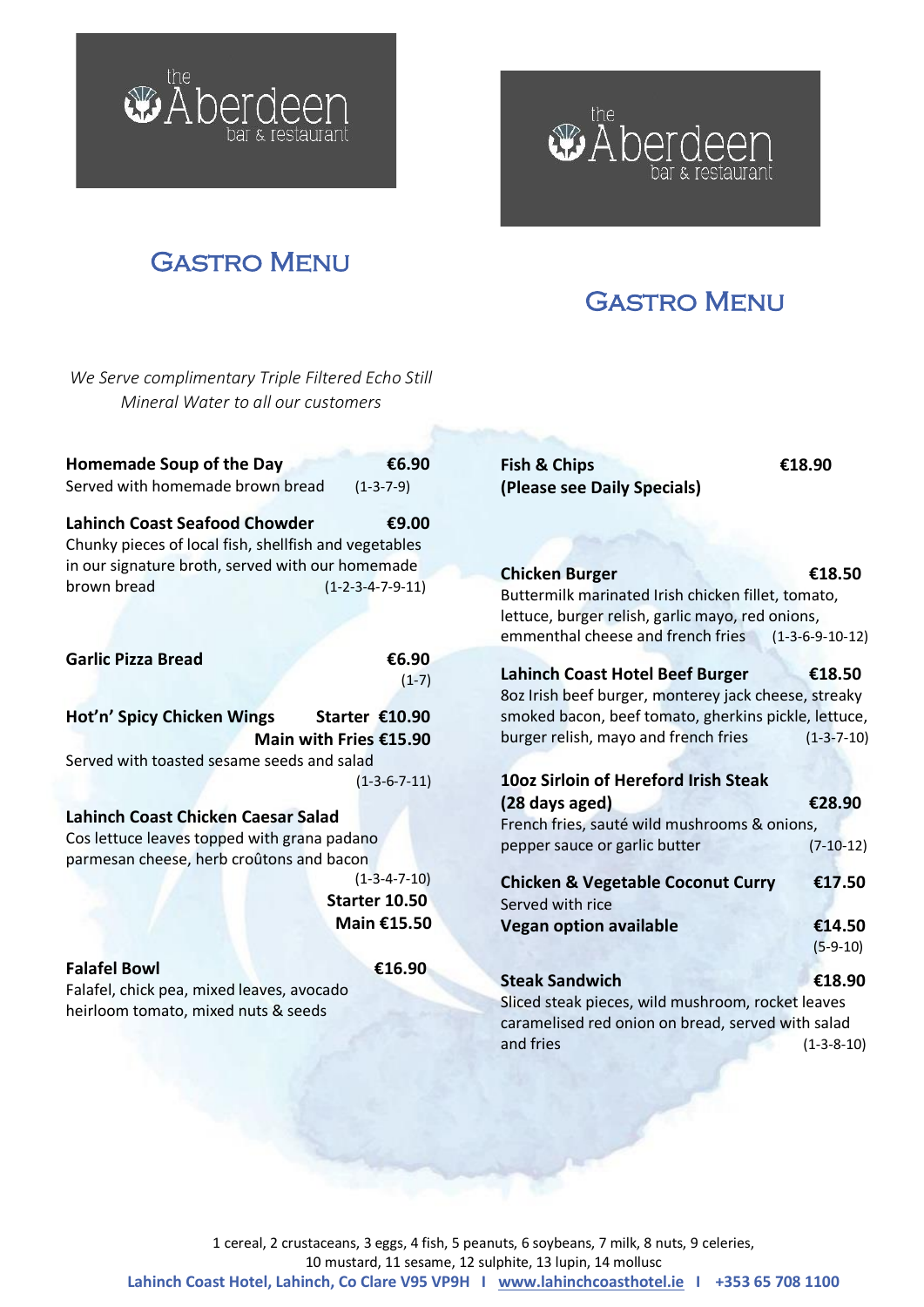

I



*We Serve complimentary Triple Filtered Echo Still* 

I

# w Aberdeen & restaurant

I

# Gastro Menu

I

| Mineral Water to all our customers                                                                                            |                        |                                                                                                                                                                      |                             |
|-------------------------------------------------------------------------------------------------------------------------------|------------------------|----------------------------------------------------------------------------------------------------------------------------------------------------------------------|-----------------------------|
| Homemade Soup of the Day<br>Served with homemade brown bread                                                                  | €6.90<br>$(1-3-7-9)$   | <b>Fish &amp; Chips</b><br>(Please see Daily Specials)                                                                                                               | €18.90                      |
| <b>Lahinch Coast Seafood Chowder</b><br>Chunky pieces of local fish, shellfish and vegetables                                 | €9.00                  |                                                                                                                                                                      |                             |
| in our signature broth, served with our homemade<br>brown bread                                                               | $(1-2-3-4-7-9-11)$     | <b>Chicken Burger</b><br>Buttermilk marinated Irish chicken fillet, tomato,<br>lettuce, burger relish, garlic mayo, red onions,<br>emmenthal cheese and french fries | €18.50<br>$(1-3-6-9-10-12)$ |
| <b>Garlic Pizza Bread</b>                                                                                                     | €6.90<br>$(1-7)$       | <b>Lahinch Coast Hotel Beef Burger</b><br>8oz Irish beef burger, monterey jack cheese, streaky                                                                       | €18.50                      |
| Hot'n' Spicy Chicken Wings                                                                                                    | Starter €10.90         | smoked bacon, beef tomato, gherkins pickle, lettuce,                                                                                                                 |                             |
|                                                                                                                               | Main with Fries €15.90 | burger relish, mayo and french fries                                                                                                                                 | $(1 - 3 - 7 - 10)$          |
| Served with toasted sesame seeds and salad                                                                                    |                        |                                                                                                                                                                      |                             |
|                                                                                                                               | $(1-3-6-7-11)$         | 10oz Sirloin of Hereford Irish Steak                                                                                                                                 |                             |
| Lahinch Coast Chicken Caesar Salad<br>Cos lettuce leaves topped with grana padano<br>parmesan cheese, herb croûtons and bacon |                        | (28 days aged)<br>French fries, sauté wild mushrooms & onions,<br>pepper sauce or garlic butter                                                                      | €28.90<br>$(7-10-12)$       |
|                                                                                                                               | $(1-3-4-7-10)$         | <b>Chicken &amp; Vegetable Coconut Curry</b>                                                                                                                         | €17.50                      |
|                                                                                                                               | Starter 10.50          | Served with rice                                                                                                                                                     |                             |
|                                                                                                                               | Main €15.50            | <b>Vegan option available</b>                                                                                                                                        | €14.50<br>$(5-9-10)$        |
| <b>Falafel Bowl</b><br>Falafel, chick pea, mixed leaves, avocado<br>heirloom tomato, mixed nuts & seeds                       | €16.90                 | <b>Steak Sandwich</b><br>Sliced steak pieces, wild mushroom, rocket leaves<br>caramelised red onion on bread, served with salad<br>and fries                         | €18.90<br>$(1-3-8-10)$      |